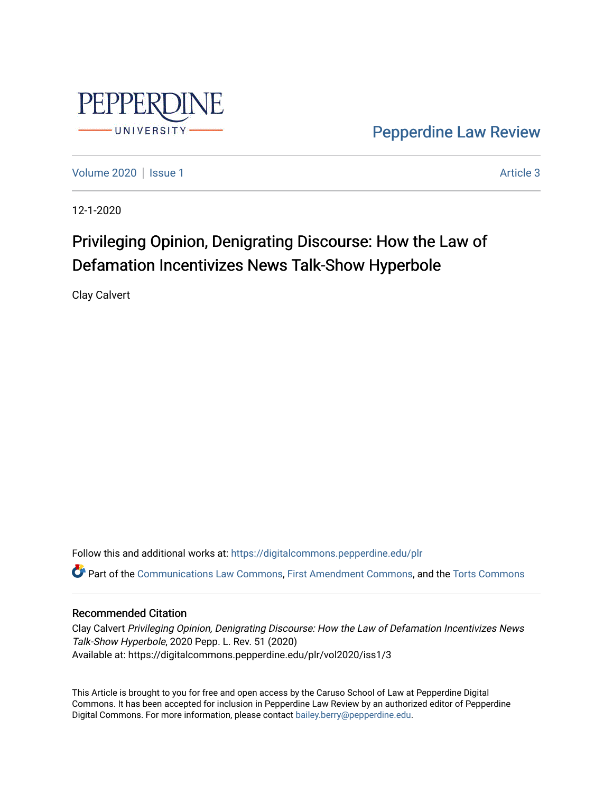

[Pepperdine Law Review](https://digitalcommons.pepperdine.edu/plr) 

[Volume 2020](https://digitalcommons.pepperdine.edu/plr/vol2020) | [Issue 1](https://digitalcommons.pepperdine.edu/plr/vol2020/iss1) Article 3

12-1-2020

# Privileging Opinion, Denigrating Discourse: How the Law of Defamation Incentivizes News Talk-Show Hyperbole

Clay Calvert

Follow this and additional works at: [https://digitalcommons.pepperdine.edu/plr](https://digitalcommons.pepperdine.edu/plr?utm_source=digitalcommons.pepperdine.edu%2Fplr%2Fvol2020%2Fiss1%2F3&utm_medium=PDF&utm_campaign=PDFCoverPages) Part of the [Communications Law Commons,](http://network.bepress.com/hgg/discipline/587?utm_source=digitalcommons.pepperdine.edu%2Fplr%2Fvol2020%2Fiss1%2F3&utm_medium=PDF&utm_campaign=PDFCoverPages) [First Amendment Commons](http://network.bepress.com/hgg/discipline/1115?utm_source=digitalcommons.pepperdine.edu%2Fplr%2Fvol2020%2Fiss1%2F3&utm_medium=PDF&utm_campaign=PDFCoverPages), and the [Torts Commons](http://network.bepress.com/hgg/discipline/913?utm_source=digitalcommons.pepperdine.edu%2Fplr%2Fvol2020%2Fiss1%2F3&utm_medium=PDF&utm_campaign=PDFCoverPages)

# Recommended Citation

Clay Calvert Privileging Opinion, Denigrating Discourse: How the Law of Defamation Incentivizes News Talk-Show Hyperbole, 2020 Pepp. L. Rev. 51 (2020) Available at: https://digitalcommons.pepperdine.edu/plr/vol2020/iss1/3

This Article is brought to you for free and open access by the Caruso School of Law at Pepperdine Digital Commons. It has been accepted for inclusion in Pepperdine Law Review by an authorized editor of Pepperdine Digital Commons. For more information, please contact [bailey.berry@pepperdine.edu.](mailto:bailey.berry@pepperdine.edu)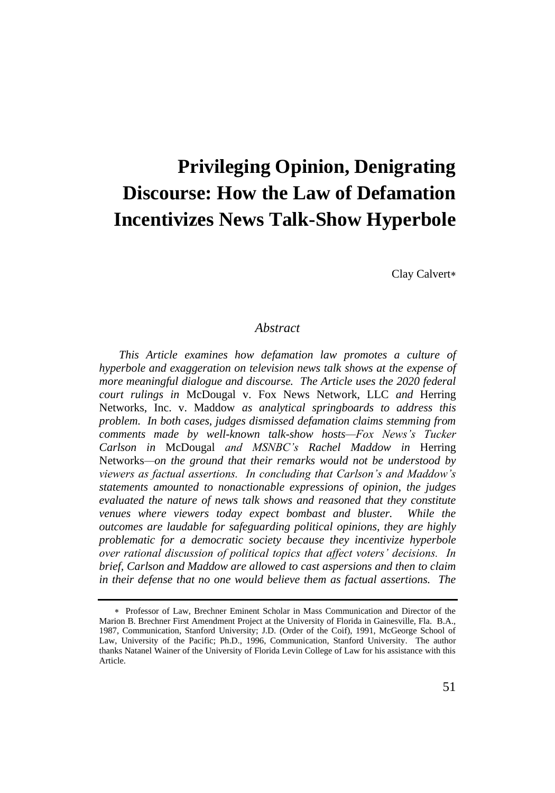# **Privileging Opinion, Denigrating Discourse: How the Law of Defamation Incentivizes News Talk-Show Hyperbole**

Clay Calvert

## *Abstract*

*This Article examines how defamation law promotes a culture of hyperbole and exaggeration on television news talk shows at the expense of more meaningful dialogue and discourse. The Article uses the 2020 federal court rulings in* McDougal v. Fox News Network, LLC *and* Herring Networks, Inc. v. Maddow *as analytical springboards to address this problem. In both cases, judges dismissed defamation claims stemming from comments made by well-known talk-show hosts—Fox News's Tucker Carlson in* McDougal *and MSNBC's Rachel Maddow in* Herring Networks*—on the ground that their remarks would not be understood by viewers as factual assertions. In concluding that Carlson's and Maddow's statements amounted to nonactionable expressions of opinion, the judges evaluated the nature of news talk shows and reasoned that they constitute venues where viewers today expect bombast and bluster. While the outcomes are laudable for safeguarding political opinions, they are highly problematic for a democratic society because they incentivize hyperbole over rational discussion of political topics that affect voters' decisions. In brief, Carlson and Maddow are allowed to cast aspersions and then to claim in their defense that no one would believe them as factual assertions. The* 

Professor of Law, Brechner Eminent Scholar in Mass Communication and Director of the Marion B. Brechner First Amendment Project at the University of Florida in Gainesville, Fla. B.A., 1987, Communication, Stanford University; J.D. (Order of the Coif), 1991, McGeorge School of Law, University of the Pacific; Ph.D., 1996, Communication, Stanford University. The author thanks Natanel Wainer of the University of Florida Levin College of Law for his assistance with this Article.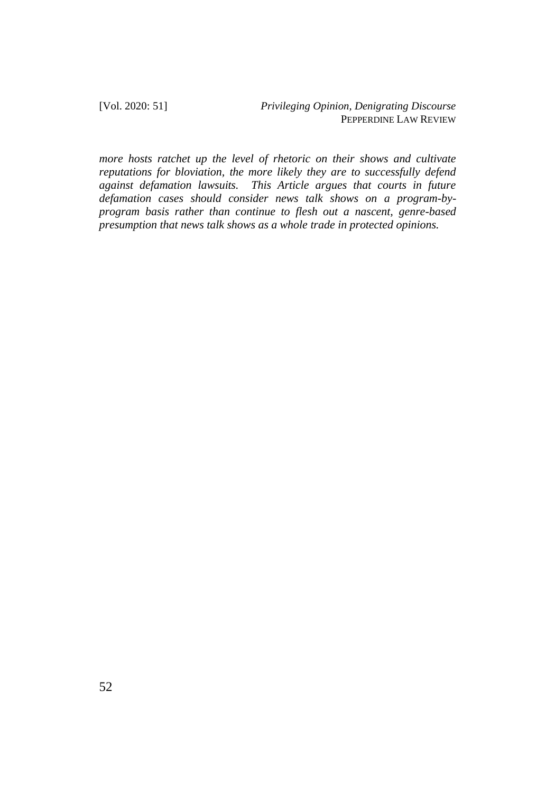*more hosts ratchet up the level of rhetoric on their shows and cultivate reputations for bloviation, the more likely they are to successfully defend against defamation lawsuits. This Article argues that courts in future defamation cases should consider news talk shows on a program-byprogram basis rather than continue to flesh out a nascent, genre-based presumption that news talk shows as a whole trade in protected opinions.*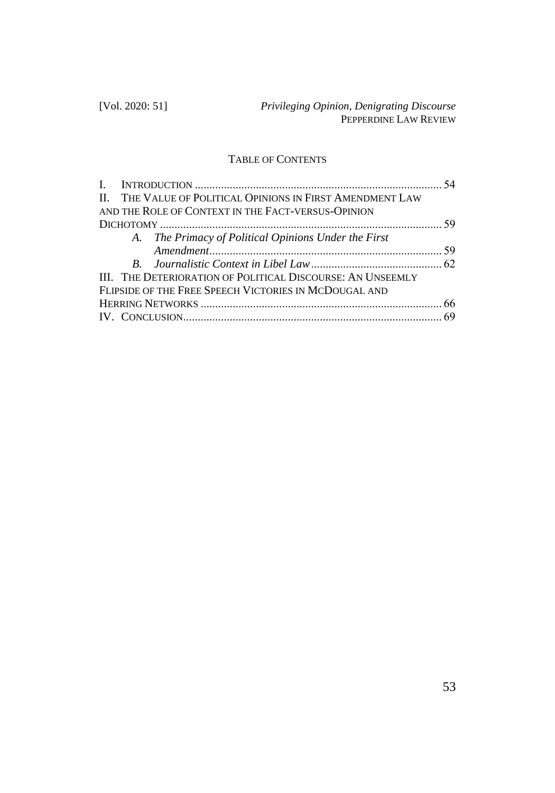# TABLE OF CONTENTS

|                                                            | 54 |
|------------------------------------------------------------|----|
| II. THE VALUE OF POLITICAL OPINIONS IN FIRST AMENDMENT LAW |    |
| AND THE ROLE OF CONTEXT IN THE FACT-VERSUS-OPINION         |    |
|                                                            |    |
| A. The Primacy of Political Opinions Under the First       |    |
|                                                            |    |
|                                                            |    |
| III. THE DETERIORATION OF POLITICAL DISCOURSE: AN UNSEEMLY |    |
| FLIPSIDE OF THE FREE SPEECH VICTORIES IN MCDOUGAL AND      |    |
|                                                            |    |
|                                                            |    |
|                                                            |    |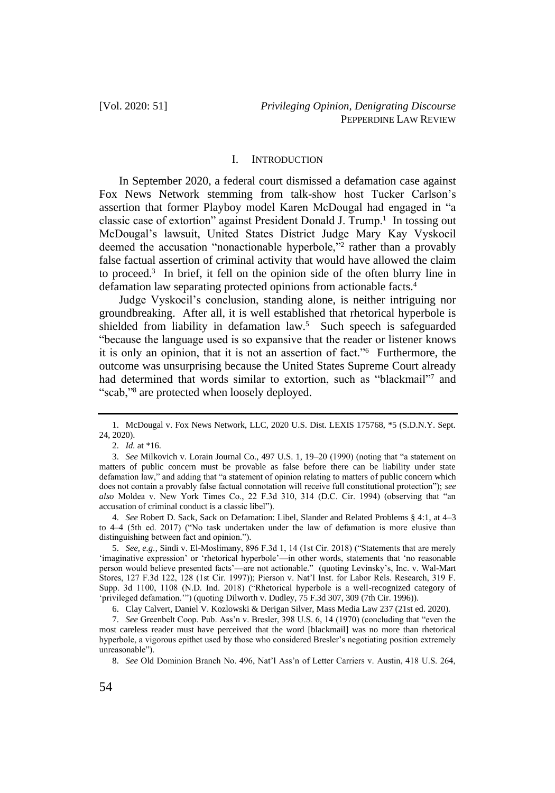#### I. INTRODUCTION

In September 2020, a federal court dismissed a defamation case against Fox News Network stemming from talk-show host Tucker Carlson's assertion that former Playboy model Karen McDougal had engaged in "a classic case of extortion" against President Donald J. Trump.<sup>1</sup> In tossing out McDougal's lawsuit, United States District Judge Mary Kay Vyskocil deemed the accusation "nonactionable hyperbole,"<sup>2</sup> rather than a provably false factual assertion of criminal activity that would have allowed the claim to proceed.<sup>3</sup> In brief, it fell on the opinion side of the often blurry line in defamation law separating protected opinions from actionable facts.<sup>4</sup>

Judge Vyskocil's conclusion, standing alone, is neither intriguing nor groundbreaking. After all, it is well established that rhetorical hyperbole is shielded from liability in defamation law.<sup>5</sup> Such speech is safeguarded "because the language used is so expansive that the reader or listener knows it is only an opinion, that it is not an assertion of fact."<sup>6</sup> Furthermore, the outcome was unsurprising because the United States Supreme Court already had determined that words similar to extortion, such as "blackmail"<sup>7</sup> and "scab,"<sup>8</sup> are protected when loosely deployed.

4. *See* Robert D. Sack, Sack on Defamation: Libel, Slander and Related Problems § 4:1, at 4–3 to 4–4 (5th ed. 2017) ("No task undertaken under the law of defamation is more elusive than distinguishing between fact and opinion.").

5. *See, e.g.,* Sindi v. El-Moslimany, 896 F.3d 1, 14 (1st Cir. 2018) ("Statements that are merely 'imaginative expression' or 'rhetorical hyperbole'—in other words, statements that 'no reasonable person would believe presented facts'—are not actionable." (quoting Levinsky's, Inc. v. Wal-Mart Stores, 127 F.3d 122, 128 (1st Cir. 1997)); Pierson v. Nat'l Inst. for Labor Rels. Research, 319 F. Supp. 3d 1100, 1108 (N.D. Ind. 2018) ("Rhetorical hyperbole is a well-recognized category of 'privileged defamation.'") (quoting Dilworth v. Dudley, 75 F.3d 307, 309 (7th Cir. 1996)).

6. Clay Calvert, Daniel V. Kozlowski & Derigan Silver, Mass Media Law 237 (21st ed. 2020).

7. *See* Greenbelt Coop. Pub. Ass'n v. Bresler, 398 U.S. 6, 14 (1970) (concluding that "even the most careless reader must have perceived that the word [blackmail] was no more than rhetorical hyperbole, a vigorous epithet used by those who considered Bresler's negotiating position extremely unreasonable").

8. *See* Old Dominion Branch No. 496, Nat'l Ass'n of Letter Carriers v. Austin, 418 U.S. 264,

<sup>1.</sup> McDougal v. Fox News Network, LLC, 2020 U.S. Dist. LEXIS 175768, \*5 (S.D.N.Y. Sept. 24, 2020).

<sup>2.</sup> *Id.* at \*16.

<sup>3.</sup> *See* Milkovich v. Lorain Journal Co., 497 U.S. 1, 19–20 (1990) (noting that "a statement on matters of public concern must be provable as false before there can be liability under state defamation law," and adding that "a statement of opinion relating to matters of public concern which does not contain a provably false factual connotation will receive full constitutional protection"); *see also* Moldea v. New York Times Co., 22 F.3d 310, 314 (D.C. Cir. 1994) (observing that "an accusation of criminal conduct is a classic libel").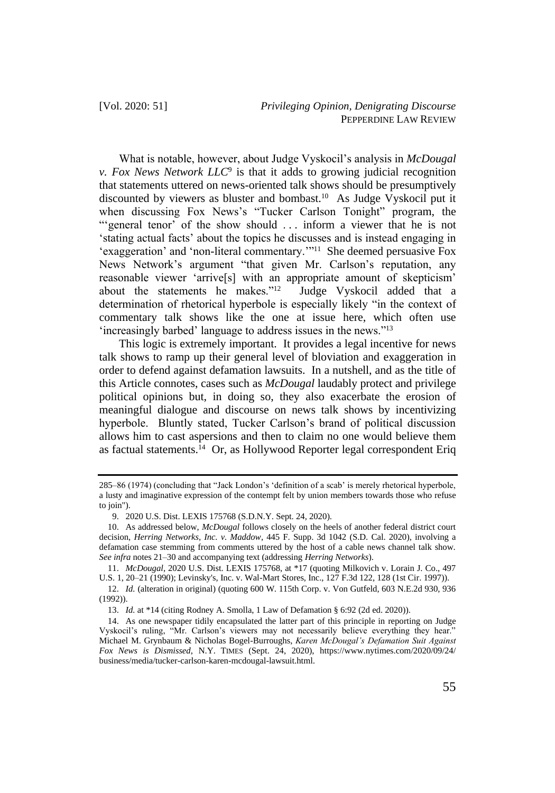What is notable, however, about Judge Vyskocil's analysis in *McDougal v. Fox News Network LLC*<sup>9</sup> is that it adds to growing judicial recognition that statements uttered on news-oriented talk shows should be presumptively discounted by viewers as bluster and bombast.<sup>10</sup> As Judge Vyskocil put it when discussing Fox News's "Tucker Carlson Tonight" program, the "'general tenor' of the show should ... inform a viewer that he is not 'stating actual facts' about the topics he discusses and is instead engaging in 'exaggeration' and 'non-literal commentary.'"<sup>11</sup> She deemed persuasive Fox News Network's argument "that given Mr. Carlson's reputation, any reasonable viewer 'arrive[s] with an appropriate amount of skepticism' about the statements he makes."<sup>12</sup> Judge Vyskocil added that a determination of rhetorical hyperbole is especially likely "in the context of commentary talk shows like the one at issue here, which often use 'increasingly barbed' language to address issues in the news."<sup>13</sup>

This logic is extremely important. It provides a legal incentive for news talk shows to ramp up their general level of bloviation and exaggeration in order to defend against defamation lawsuits. In a nutshell, and as the title of this Article connotes, cases such as *McDougal* laudably protect and privilege political opinions but, in doing so, they also exacerbate the erosion of meaningful dialogue and discourse on news talk shows by incentivizing hyperbole. Bluntly stated, Tucker Carlson's brand of political discussion allows him to cast aspersions and then to claim no one would believe them as factual statements.<sup>14</sup> Or, as Hollywood Reporter legal correspondent Eriq

<sup>285–86 (1974) (</sup>concluding that "Jack London's 'definition of a scab' is merely rhetorical hyperbole, a lusty and imaginative expression of the contempt felt by union members towards those who refuse to join").

<sup>9.</sup> 2020 U.S. Dist. LEXIS 175768 (S.D.N.Y. Sept. 24, 2020).

<sup>10.</sup> As addressed below, *McDougal* follows closely on the heels of another federal district court decision, *Herring Networks, Inc. v. Maddow*, 445 F. Supp. 3d 1042 (S.D. Cal. 2020), involving a defamation case stemming from comments uttered by the host of a cable news channel talk show. *See infra* notes 21–30 and accompanying text (addressing *Herring Networks*).

<sup>11.</sup> *McDougal*, 2020 U.S. Dist. LEXIS 175768, at \*17 (quoting Milkovich v. Lorain J. Co., 497 U.S. 1, 20–21 (1990); Levinsky's, Inc. v. Wal-Mart Stores, Inc., 127 F.3d 122, 128 (1st Cir. 1997)).

<sup>12.</sup> *Id.* (alteration in original) (quoting 600 W. 115th Corp. v. Von Gutfeld, 603 N.E.2d 930, 936 (1992)).

<sup>13.</sup> *Id.* at \*14 (citing Rodney A. Smolla, 1 Law of Defamation § 6:92 (2d ed. 2020)).

<sup>14.</sup> As one newspaper tidily encapsulated the latter part of this principle in reporting on Judge Vyskocil's ruling, "Mr. Carlson's viewers may not necessarily believe everything they hear." Michael M. Grynbaum & Nicholas Bogel-Burroughs, *Karen McDougal's Defamation Suit Against Fox News is Dismissed*, N.Y. TIMES (Sept. 24, 2020), https://www.nytimes.com/2020/09/24/ business/media/tucker-carlson-karen-mcdougal-lawsuit.html.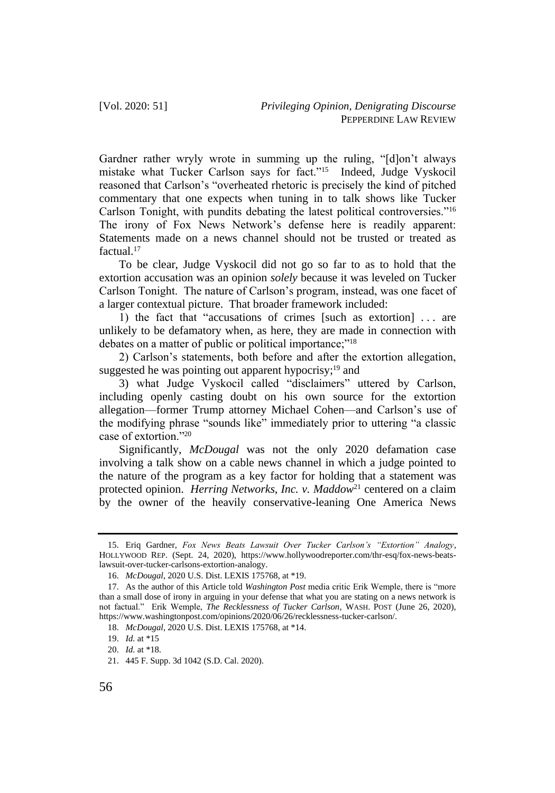Gardner rather wryly wrote in summing up the ruling, "[d]on't always mistake what Tucker Carlson says for fact."<sup>15</sup> Indeed, Judge Vyskocil reasoned that Carlson's "overheated rhetoric is precisely the kind of pitched commentary that one expects when tuning in to talk shows like Tucker Carlson Tonight, with pundits debating the latest political controversies."<sup>16</sup> The irony of Fox News Network's defense here is readily apparent: Statements made on a news channel should not be trusted or treated as factual.<sup>17</sup>

To be clear, Judge Vyskocil did not go so far to as to hold that the extortion accusation was an opinion *solely* because it was leveled on Tucker Carlson Tonight. The nature of Carlson's program, instead, was one facet of a larger contextual picture. That broader framework included:

1) the fact that "accusations of crimes [such as extortion] . . . are unlikely to be defamatory when, as here, they are made in connection with debates on a matter of public or political importance;"<sup>18</sup>

2) Carlson's statements, both before and after the extortion allegation, suggested he was pointing out apparent hypocrisy;<sup>19</sup> and

3) what Judge Vyskocil called "disclaimers" uttered by Carlson, including openly casting doubt on his own source for the extortion allegation—former Trump attorney Michael Cohen—and Carlson's use of the modifying phrase "sounds like" immediately prior to uttering "a classic case of extortion."<sup>20</sup>

Significantly, *McDougal* was not the only 2020 defamation case involving a talk show on a cable news channel in which a judge pointed to the nature of the program as a key factor for holding that a statement was protected opinion. *Herring Networks, Inc. v. Maddow*<sup>21</sup> centered on a claim by the owner of the heavily conservative-leaning One America News

<sup>15.</sup> Eriq Gardner, *Fox News Beats Lawsuit Over Tucker Carlson's "Extortion" Analogy*, HOLLYWOOD REP. (Sept. 24, 2020), https://www.hollywoodreporter.com/thr-esq/fox-news-beatslawsuit-over-tucker-carlsons-extortion-analogy.

<sup>16.</sup> *McDougal*, 2020 U.S. Dist. LEXIS 175768, at \*19.

<sup>17.</sup> As the author of this Article told *Washington Post* media critic Erik Wemple, there is "more than a small dose of irony in arguing in your defense that what you are stating on a news network is not factual." Erik Wemple, *The Recklessness of Tucker Carlson*, WASH. POST (June 26, 2020), https://www.washingtonpost.com/opinions/2020/06/26/recklessness-tucker-carlson/.

<sup>18.</sup> *McDougal*, 2020 U.S. Dist. LEXIS 175768, at \*14.

<sup>19.</sup> *Id.* at \*15

<sup>20.</sup> *Id.* at \*18.

<sup>21.</sup> 445 F. Supp. 3d 1042 (S.D. Cal. 2020).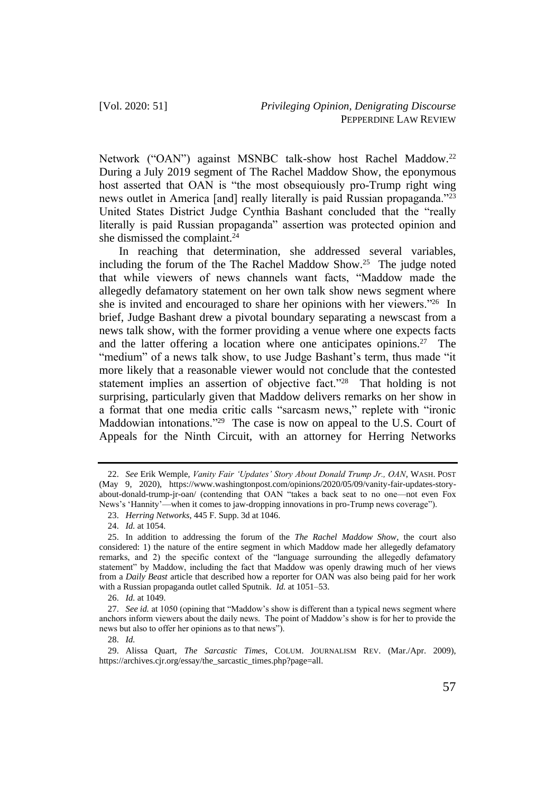Network ("OAN") against MSNBC talk-show host Rachel Maddow.<sup>22</sup> During a July 2019 segment of The Rachel Maddow Show, the eponymous host asserted that OAN is "the most obsequiously pro-Trump right wing news outlet in America [and] really literally is paid Russian propaganda."<sup>23</sup> United States District Judge Cynthia Bashant concluded that the "really literally is paid Russian propaganda" assertion was protected opinion and she dismissed the complaint.<sup>24</sup>

In reaching that determination, she addressed several variables, including the forum of the The Rachel Maddow Show. $25$  The judge noted that while viewers of news channels want facts, "Maddow made the allegedly defamatory statement on her own talk show news segment where she is invited and encouraged to share her opinions with her viewers."<sup>26</sup> In brief, Judge Bashant drew a pivotal boundary separating a newscast from a news talk show, with the former providing a venue where one expects facts and the latter offering a location where one anticipates opinions.<sup>27</sup> The "medium" of a news talk show, to use Judge Bashant's term, thus made "it more likely that a reasonable viewer would not conclude that the contested statement implies an assertion of objective fact."<sup>28</sup> That holding is not surprising, particularly given that Maddow delivers remarks on her show in a format that one media critic calls "sarcasm news," replete with "ironic Maddowian intonations."<sup>29</sup> The case is now on appeal to the U.S. Court of Appeals for the Ninth Circuit, with an attorney for Herring Networks

<sup>22.</sup> *See* Erik Wemple, *Vanity Fair 'Updates' Story About Donald Trump Jr., OAN*, WASH. POST (May 9, 2020), https://www.washingtonpost.com/opinions/2020/05/09/vanity-fair-updates-storyabout-donald-trump-jr-oan/ (contending that OAN "takes a back seat to no one—not even Fox News's 'Hannity'—when it comes to jaw-dropping innovations in pro-Trump news coverage").

<sup>23.</sup> *Herring Networks*, 445 F. Supp. 3d at 1046.

<sup>24.</sup> *Id.* at 1054.

<sup>25.</sup> In addition to addressing the forum of the *The Rachel Maddow Show*, the court also considered: 1) the nature of the entire segment in which Maddow made her allegedly defamatory remarks, and 2) the specific context of the "language surrounding the allegedly defamatory statement" by Maddow, including the fact that Maddow was openly drawing much of her views from a *Daily Beast* article that described how a reporter for OAN was also being paid for her work with a Russian propaganda outlet called Sputnik. *Id.* at 1051–53.

<sup>26.</sup> *Id.* at 1049.

<sup>27.</sup> *See id.* at 1050 (opining that "Maddow's show is different than a typical news segment where anchors inform viewers about the daily news. The point of Maddow's show is for her to provide the news but also to offer her opinions as to that news").

<sup>28.</sup> *Id.*

<sup>29.</sup> Alissa Quart, *The Sarcastic Times*, COLUM. JOURNALISM REV. (Mar./Apr. 2009), https://archives.cjr.org/essay/the\_sarcastic\_times.php?page=all.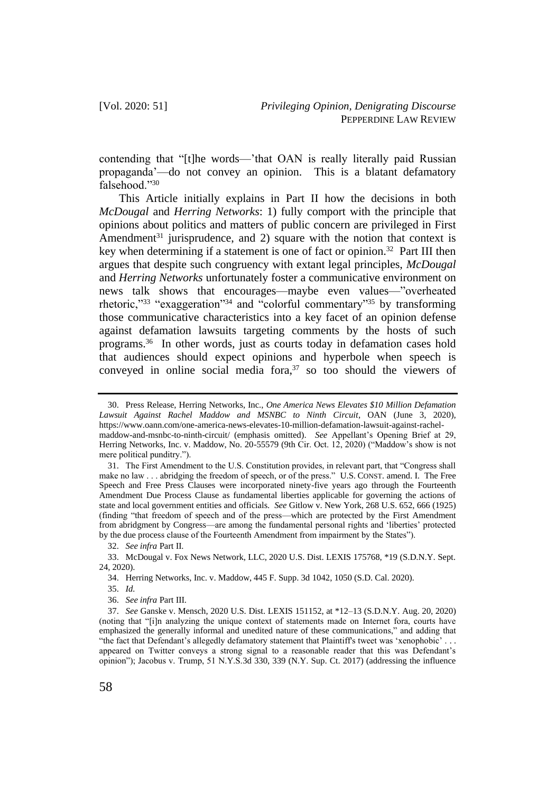contending that "[t]he words—'that OAN is really literally paid Russian propaganda'—do not convey an opinion. This is a blatant defamatory falsehood."<sup>30</sup>

This Article initially explains in Part II how the decisions in both *McDougal* and *Herring Networks*: 1) fully comport with the principle that opinions about politics and matters of public concern are privileged in First Amendment<sup>31</sup> jurisprudence, and 2) square with the notion that context is key when determining if a statement is one of fact or opinion.<sup>32</sup> Part III then argues that despite such congruency with extant legal principles, *McDougal* and *Herring Networks* unfortunately foster a communicative environment on news talk shows that encourages—maybe even values—"overheated rhetoric,"<sup>33</sup> "exaggeration"<sup>34</sup> and "colorful commentary"<sup>35</sup> by transforming those communicative characteristics into a key facet of an opinion defense against defamation lawsuits targeting comments by the hosts of such programs.<sup>36</sup> In other words, just as courts today in defamation cases hold that audiences should expect opinions and hyperbole when speech is conveyed in online social media fora, $37$  so too should the viewers of

35. *Id.*

36. *See infra* Part III.

<sup>30.</sup> Press Release, Herring Networks, Inc., *One America News Elevates \$10 Million Defamation Lawsuit Against Rachel Maddow and MSNBC to Ninth Circuit*, OAN (June 3, 2020), https://www.oann.com/one-america-news-elevates-10-million-defamation-lawsuit-against-rachelmaddow-and-msnbc-to-ninth-circuit/ (emphasis omitted). *See* Appellant's Opening Brief at 29, Herring Networks, Inc. v. Maddow, No. 20-55579 (9th Cir. Oct. 12, 2020) ("Maddow's show is not mere political punditry.").

<sup>31.</sup> The First Amendment to the U.S. Constitution provides, in relevant part, that "Congress shall make no law . . . abridging the freedom of speech, or of the press." U.S. CONST. amend. I. The Free Speech and Free Press Clauses were incorporated ninety-five years ago through the Fourteenth Amendment Due Process Clause as fundamental liberties applicable for governing the actions of state and local government entities and officials. *See* Gitlow v. New York, 268 U.S. 652, 666 (1925) (finding "that freedom of speech and of the press—which are protected by the First Amendment from abridgment by Congress—are among the fundamental personal rights and 'liberties' protected by the due process clause of the Fourteenth Amendment from impairment by the States").

<sup>32.</sup> *See infra* Part II.

<sup>33.</sup> McDougal v. Fox News Network, LLC, 2020 U.S. Dist. LEXIS 175768, \*19 (S.D.N.Y. Sept. 24, 2020).

<sup>34.</sup> Herring Networks, Inc. v. Maddow, 445 F. Supp. 3d 1042, 1050 (S.D. Cal. 2020).

<sup>37.</sup> *See* Ganske v. Mensch, 2020 U.S. Dist. LEXIS 151152, at \*12–13 (S.D.N.Y. Aug. 20, 2020) (noting that "[i]n analyzing the unique context of statements made on Internet fora, courts have emphasized the generally informal and unedited nature of these communications," and adding that "the fact that Defendant's allegedly defamatory statement that Plaintiff's tweet was 'xenophobic' . . . appeared on Twitter conveys a strong signal to a reasonable reader that this was Defendant's opinion"); Jacobus v. Trump, 51 N.Y.S.3d 330, 339 (N.Y. Sup. Ct. 2017) (addressing the influence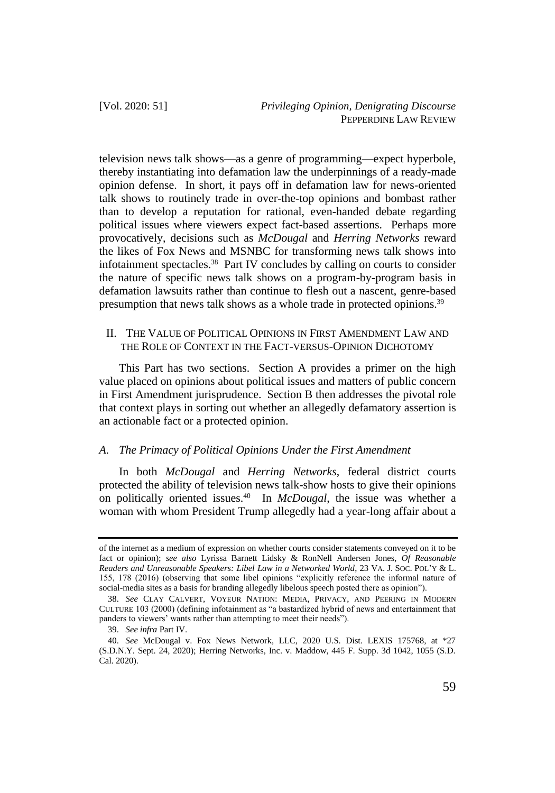television news talk shows—as a genre of programming—expect hyperbole, thereby instantiating into defamation law the underpinnings of a ready-made opinion defense. In short, it pays off in defamation law for news-oriented talk shows to routinely trade in over-the-top opinions and bombast rather than to develop a reputation for rational, even-handed debate regarding political issues where viewers expect fact-based assertions. Perhaps more provocatively, decisions such as *McDougal* and *Herring Networks* reward the likes of Fox News and MSNBC for transforming news talk shows into infotainment spectacles.<sup>38</sup> Part IV concludes by calling on courts to consider the nature of specific news talk shows on a program-by-program basis in defamation lawsuits rather than continue to flesh out a nascent, genre-based presumption that news talk shows as a whole trade in protected opinions.<sup>39</sup>

### II. THE VALUE OF POLITICAL OPINIONS IN FIRST AMENDMENT LAW AND THE ROLE OF CONTEXT IN THE FACT-VERSUS-OPINION DICHOTOMY

This Part has two sections. Section A provides a primer on the high value placed on opinions about political issues and matters of public concern in First Amendment jurisprudence. Section B then addresses the pivotal role that context plays in sorting out whether an allegedly defamatory assertion is an actionable fact or a protected opinion.

#### *A. The Primacy of Political Opinions Under the First Amendment*

In both *McDougal* and *Herring Networks*, federal district courts protected the ability of television news talk-show hosts to give their opinions on politically oriented issues.<sup>40</sup> In *McDougal*, the issue was whether a woman with whom President Trump allegedly had a year-long affair about a

of the internet as a medium of expression on whether courts consider statements conveyed on it to be fact or opinion); *see also* Lyrissa Barnett Lidsky & RonNell Andersen Jones, *Of Reasonable Readers and Unreasonable Speakers: Libel Law in a Networked World*, 23 VA. J. SOC. POL'Y & L. 155, 178 (2016) (observing that some libel opinions "explicitly reference the informal nature of social-media sites as a basis for branding allegedly libelous speech posted there as opinion").

<sup>38.</sup> *See* CLAY CALVERT, VOYEUR NATION: MEDIA, PRIVACY, AND PEERING IN MODERN CULTURE 103 (2000) (defining infotainment as "a bastardized hybrid of news and entertainment that panders to viewers' wants rather than attempting to meet their needs").

<sup>39.</sup> *See infra* Part IV.

<sup>40.</sup> *See* McDougal v. Fox News Network, LLC, 2020 U.S. Dist. LEXIS 175768, at \*27 (S.D.N.Y. Sept. 24, 2020); Herring Networks, Inc. v. Maddow, 445 F. Supp. 3d 1042, 1055 (S.D. Cal. 2020).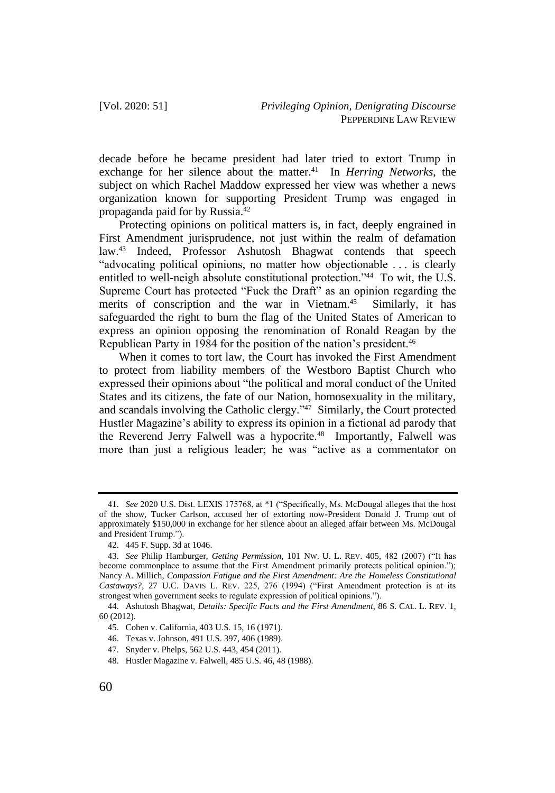decade before he became president had later tried to extort Trump in exchange for her silence about the matter.<sup>41</sup> In *Herring Networks*, the subject on which Rachel Maddow expressed her view was whether a news organization known for supporting President Trump was engaged in propaganda paid for by Russia.<sup>42</sup>

Protecting opinions on political matters is, in fact, deeply engrained in First Amendment jurisprudence, not just within the realm of defamation law.<sup>43</sup> Indeed, Professor Ashutosh Bhagwat contends that speech "advocating political opinions, no matter how objectionable . . . is clearly entitled to well-neigh absolute constitutional protection."<sup>44</sup> To wit, the U.S. Supreme Court has protected "Fuck the Draft" as an opinion regarding the merits of conscription and the war in Vietnam.<sup>45</sup> Similarly, it has safeguarded the right to burn the flag of the United States of American to express an opinion opposing the renomination of Ronald Reagan by the Republican Party in 1984 for the position of the nation's president.<sup>46</sup>

When it comes to tort law, the Court has invoked the First Amendment to protect from liability members of the Westboro Baptist Church who expressed their opinions about "the political and moral conduct of the United States and its citizens, the fate of our Nation, homosexuality in the military, and scandals involving the Catholic clergy."<sup>47</sup> Similarly, the Court protected Hustler Magazine's ability to express its opinion in a fictional ad parody that the Reverend Jerry Falwell was a hypocrite.<sup>48</sup> Importantly, Falwell was more than just a religious leader; he was "active as a commentator on

<sup>41.</sup> *See* 2020 U.S. Dist. LEXIS 175768, at \*1 ("Specifically, Ms. McDougal alleges that the host of the show, Tucker Carlson, accused her of extorting now-President Donald J. Trump out of approximately \$150,000 in exchange for her silence about an alleged affair between Ms. McDougal and President Trump.").

<sup>42.</sup> 445 F. Supp. 3d at 1046.

<sup>43.</sup> *See* Philip Hamburger, *Getting Permission*, 101 NW. U. L. REV. 405, 482 (2007) ("It has become commonplace to assume that the First Amendment primarily protects political opinion."); Nancy A. Millich, *Compassion Fatigue and the First Amendment: Are the Homeless Constitutional Castaways?*, 27 U.C. DAVIS L. REV. 225, 276 (1994) ("First Amendment protection is at its strongest when government seeks to regulate expression of political opinions.").

<sup>44.</sup> Ashutosh Bhagwat, *Details: Specific Facts and the First Amendment*, 86 S. CAL. L. REV. 1, 60 (2012).

<sup>45.</sup> Cohen v. California, 403 U.S. 15, 16 (1971).

<sup>46.</sup> Texas v. Johnson, 491 U.S. 397, 406 (1989).

<sup>47.</sup> Snyder v. Phelps, 562 U.S. 443, 454 (2011).

<sup>48.</sup> Hustler Magazine v. Falwell, 485 U.S. 46, 48 (1988).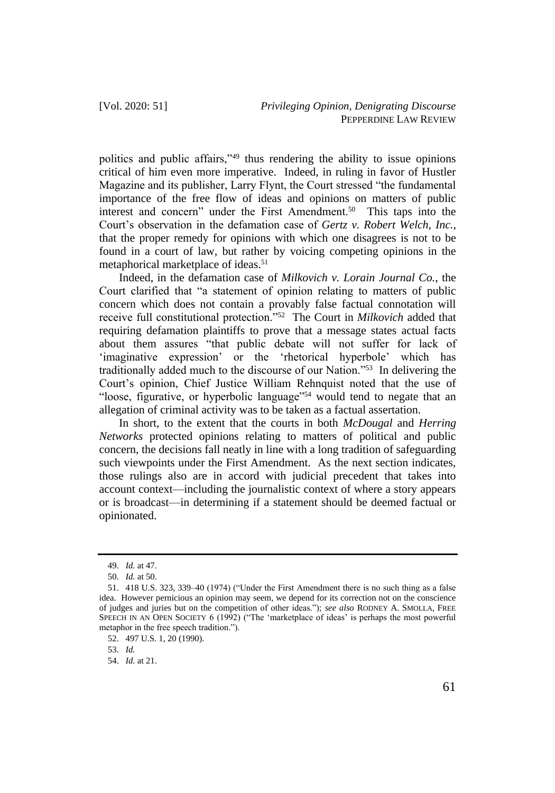politics and public affairs,"<sup>49</sup> thus rendering the ability to issue opinions critical of him even more imperative. Indeed, in ruling in favor of Hustler Magazine and its publisher, Larry Flynt, the Court stressed "the fundamental importance of the free flow of ideas and opinions on matters of public interest and concern" under the First Amendment.<sup>50</sup> This taps into the Court's observation in the defamation case of *Gertz v. Robert Welch, Inc.*, that the proper remedy for opinions with which one disagrees is not to be found in a court of law, but rather by voicing competing opinions in the metaphorical marketplace of ideas.<sup>51</sup>

Indeed, in the defamation case of *Milkovich v. Lorain Journal Co.*, the Court clarified that "a statement of opinion relating to matters of public concern which does not contain a provably false factual connotation will receive full constitutional protection."<sup>52</sup> The Court in *Milkovich* added that requiring defamation plaintiffs to prove that a message states actual facts about them assures "that public debate will not suffer for lack of 'imaginative expression' or the 'rhetorical hyperbole' which has traditionally added much to the discourse of our Nation."<sup>53</sup> In delivering the Court's opinion, Chief Justice William Rehnquist noted that the use of "loose, figurative, or hyperbolic language"<sup>54</sup> would tend to negate that an allegation of criminal activity was to be taken as a factual assertation.

In short, to the extent that the courts in both *McDougal* and *Herring Networks* protected opinions relating to matters of political and public concern, the decisions fall neatly in line with a long tradition of safeguarding such viewpoints under the First Amendment. As the next section indicates, those rulings also are in accord with judicial precedent that takes into account context—including the journalistic context of where a story appears or is broadcast—in determining if a statement should be deemed factual or opinionated.

53. *Id.*

<sup>49.</sup> *Id.* at 47.

<sup>50.</sup> *Id.* at 50.

<sup>51.</sup> 418 U.S. 323, 339–40 (1974) ("Under the First Amendment there is no such thing as a false idea. However pernicious an opinion may seem, we depend for its correction not on the conscience of judges and juries but on the competition of other ideas."); *see also* RODNEY A. SMOLLA, FREE SPEECH IN AN OPEN SOCIETY 6 (1992) ("The 'marketplace of ideas' is perhaps the most powerful metaphor in the free speech tradition.").

<sup>52.</sup> 497 U.S. 1, 20 (1990).

<sup>54.</sup> *Id.* at 21.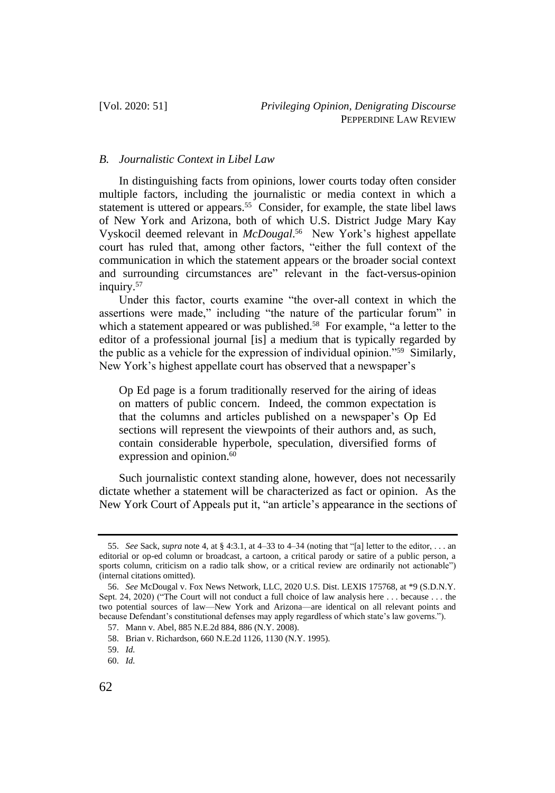#### *B. Journalistic Context in Libel Law*

In distinguishing facts from opinions, lower courts today often consider multiple factors, including the journalistic or media context in which a statement is uttered or appears.<sup>55</sup> Consider, for example, the state libel laws of New York and Arizona, both of which U.S. District Judge Mary Kay Vyskocil deemed relevant in *McDougal*. 56 New York's highest appellate court has ruled that, among other factors, "either the full context of the communication in which the statement appears or the broader social context and surrounding circumstances are" relevant in the fact-versus-opinion inquiry.<sup>57</sup>

Under this factor, courts examine "the over-all context in which the assertions were made," including "the nature of the particular forum" in which a statement appeared or was published.<sup>58</sup> For example, "a letter to the editor of a professional journal [is] a medium that is typically regarded by the public as a vehicle for the expression of individual opinion."<sup>59</sup> Similarly, New York's highest appellate court has observed that a newspaper's

Op Ed page is a forum traditionally reserved for the airing of ideas on matters of public concern. Indeed, the common expectation is that the columns and articles published on a newspaper's Op Ed sections will represent the viewpoints of their authors and, as such, contain considerable hyperbole, speculation, diversified forms of expression and opinion.<sup>60</sup>

Such journalistic context standing alone, however, does not necessarily dictate whether a statement will be characterized as fact or opinion. As the New York Court of Appeals put it, "an article's appearance in the sections of

<sup>55.</sup> *See* Sack, *supra* note 4, at § 4:3.1, at 4–33 to 4–34 (noting that "[a] letter to the editor, . . . an editorial or op-ed column or broadcast, a cartoon, a critical parody or satire of a public person, a sports column, criticism on a radio talk show, or a critical review are ordinarily not actionable") (internal citations omitted).

<sup>56.</sup> *See* McDougal v. Fox News Network, LLC, 2020 U.S. Dist. LEXIS 175768, at \*9 (S.D.N.Y. Sept. 24, 2020) ("The Court will not conduct a full choice of law analysis here . . . because . . . the two potential sources of law—New York and Arizona—are identical on all relevant points and because Defendant's constitutional defenses may apply regardless of which state's law governs.").

<sup>57.</sup> Mann v. Abel, 885 N.E.2d 884, 886 (N.Y. 2008).

<sup>58.</sup> Brian v. Richardson, 660 N.E.2d 1126, 1130 (N.Y. 1995).

<sup>59.</sup> *Id.*

<sup>60.</sup> *Id.*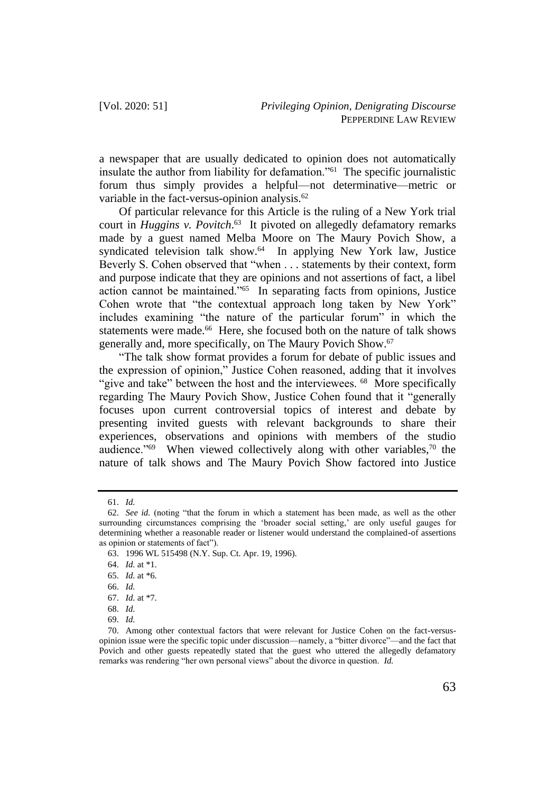a newspaper that are usually dedicated to opinion does not automatically insulate the author from liability for defamation."<sup>61</sup> The specific journalistic forum thus simply provides a helpful—not determinative—metric or variable in the fact-versus-opinion analysis.<sup>62</sup>

Of particular relevance for this Article is the ruling of a New York trial court in *Huggins v. Povitch*. 63 It pivoted on allegedly defamatory remarks made by a guest named Melba Moore on The Maury Povich Show, a syndicated television talk show.<sup>64</sup> In applying New York law, Justice Beverly S. Cohen observed that "when . . . statements by their context, form and purpose indicate that they are opinions and not assertions of fact, a libel action cannot be maintained."<sup>65</sup> In separating facts from opinions, Justice Cohen wrote that "the contextual approach long taken by New York" includes examining "the nature of the particular forum" in which the statements were made.<sup>66</sup> Here, she focused both on the nature of talk shows generally and, more specifically, on The Maury Povich Show.<sup>67</sup>

"The talk show format provides a forum for debate of public issues and the expression of opinion," Justice Cohen reasoned, adding that it involves "give and take" between the host and the interviewees. <sup>68</sup> More specifically regarding The Maury Povich Show, Justice Cohen found that it "generally focuses upon current controversial topics of interest and debate by presenting invited guests with relevant backgrounds to share their experiences, observations and opinions with members of the studio audience."<sup>69</sup> When viewed collectively along with other variables,<sup>70</sup> the nature of talk shows and The Maury Povich Show factored into Justice

<sup>61.</sup> *Id.*

<sup>62.</sup> *See id.* (noting "that the forum in which a statement has been made, as well as the other surrounding circumstances comprising the 'broader social setting,' are only useful gauges for determining whether a reasonable reader or listener would understand the complained-of assertions as opinion or statements of fact").

<sup>63.</sup> 1996 WL 515498 (N.Y. Sup. Ct. Apr. 19, 1996).

<sup>64.</sup> *Id.* at \*1.

<sup>65.</sup> *Id.* at \*6.

<sup>66.</sup> *Id.*

<sup>67.</sup> *Id.* at \*7.

<sup>68.</sup> *Id.*

<sup>69.</sup> *Id.*

<sup>70.</sup> Among other contextual factors that were relevant for Justice Cohen on the fact-versusopinion issue were the specific topic under discussion—namely, a "bitter divorce"—and the fact that Povich and other guests repeatedly stated that the guest who uttered the allegedly defamatory remarks was rendering "her own personal views" about the divorce in question. *Id.*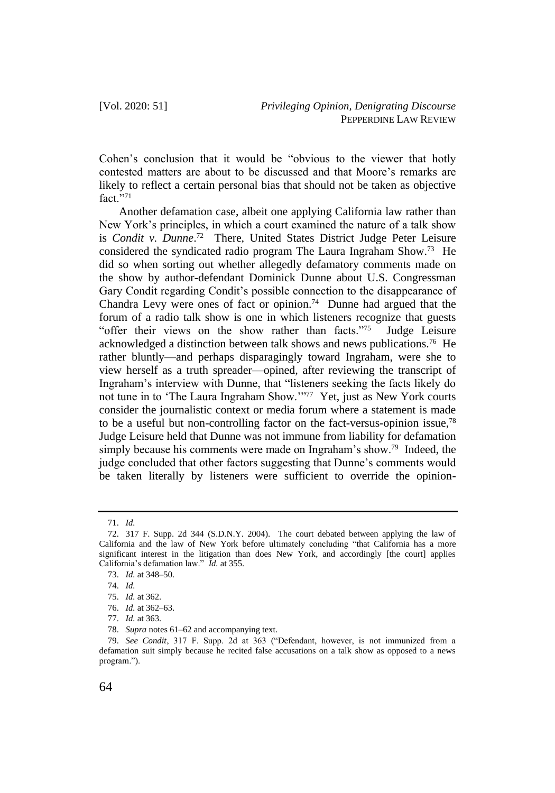Cohen's conclusion that it would be "obvious to the viewer that hotly contested matters are about to be discussed and that Moore's remarks are likely to reflect a certain personal bias that should not be taken as objective  $fact.$ <sup>5,71</sup>

Another defamation case, albeit one applying California law rather than New York's principles, in which a court examined the nature of a talk show is *Condit v. Dunne*. 72 There, United States District Judge Peter Leisure considered the syndicated radio program The Laura Ingraham Show.<sup>73</sup> He did so when sorting out whether allegedly defamatory comments made on the show by author-defendant Dominick Dunne about U.S. Congressman Gary Condit regarding Condit's possible connection to the disappearance of Chandra Levy were ones of fact or opinion.<sup>74</sup> Dunne had argued that the forum of a radio talk show is one in which listeners recognize that guests "offer their views on the show rather than facts."<sup>75</sup> Judge Leisure acknowledged a distinction between talk shows and news publications.<sup>76</sup> He rather bluntly—and perhaps disparagingly toward Ingraham, were she to view herself as a truth spreader—opined, after reviewing the transcript of Ingraham's interview with Dunne, that "listeners seeking the facts likely do not tune in to 'The Laura Ingraham Show.'"<sup>77</sup> Yet, just as New York courts consider the journalistic context or media forum where a statement is made to be a useful but non-controlling factor on the fact-versus-opinion issue,<sup>78</sup> Judge Leisure held that Dunne was not immune from liability for defamation simply because his comments were made on Ingraham's show.<sup>79</sup> Indeed, the judge concluded that other factors suggesting that Dunne's comments would be taken literally by listeners were sufficient to override the opinion-

<sup>71.</sup> *Id.*

<sup>72.</sup> 317 F. Supp. 2d 344 (S.D.N.Y. 2004). The court debated between applying the law of California and the law of New York before ultimately concluding "that California has a more significant interest in the litigation than does New York, and accordingly [the court] applies California's defamation law." *Id.* at 355.

<sup>73.</sup> *Id.* at 348–50.

<sup>74.</sup> *Id.*

<sup>75.</sup> *Id.* at 362.

<sup>76.</sup> *Id.* at 362–63.

<sup>77.</sup> *Id.* at 363.

<sup>78.</sup> *Supra* notes 61–62 and accompanying text.

<sup>79.</sup> *See Condit*, 317 F. Supp. 2d at 363 ("Defendant, however, is not immunized from a defamation suit simply because he recited false accusations on a talk show as opposed to a news program.").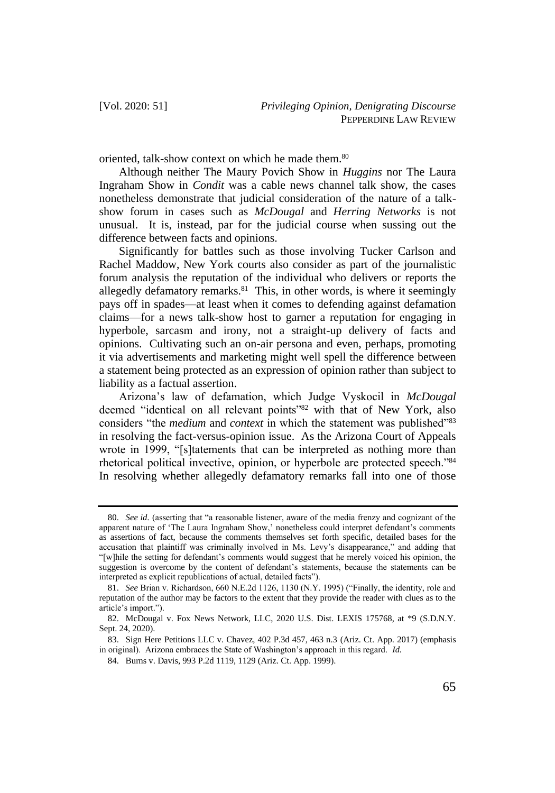oriented, talk-show context on which he made them.<sup>80</sup>

Although neither The Maury Povich Show in *Huggins* nor The Laura Ingraham Show in *Condit* was a cable news channel talk show, the cases nonetheless demonstrate that judicial consideration of the nature of a talkshow forum in cases such as *McDougal* and *Herring Networks* is not unusual. It is, instead, par for the judicial course when sussing out the difference between facts and opinions.

Significantly for battles such as those involving Tucker Carlson and Rachel Maddow, New York courts also consider as part of the journalistic forum analysis the reputation of the individual who delivers or reports the allegedly defamatory remarks. $81$  This, in other words, is where it seemingly pays off in spades—at least when it comes to defending against defamation claims—for a news talk-show host to garner a reputation for engaging in hyperbole, sarcasm and irony, not a straight-up delivery of facts and opinions. Cultivating such an on-air persona and even, perhaps, promoting it via advertisements and marketing might well spell the difference between a statement being protected as an expression of opinion rather than subject to liability as a factual assertion.

Arizona's law of defamation, which Judge Vyskocil in *McDougal* deemed "identical on all relevant points"<sup>82</sup> with that of New York, also considers "the *medium* and *context* in which the statement was published"83 in resolving the fact-versus-opinion issue. As the Arizona Court of Appeals wrote in 1999, "[s]tatements that can be interpreted as nothing more than rhetorical political invective, opinion, or hyperbole are protected speech."<sup>84</sup> In resolving whether allegedly defamatory remarks fall into one of those

<sup>80.</sup> *See id.* (asserting that "a reasonable listener, aware of the media frenzy and cognizant of the apparent nature of 'The Laura Ingraham Show,' nonetheless could interpret defendant's comments as assertions of fact, because the comments themselves set forth specific, detailed bases for the accusation that plaintiff was criminally involved in Ms. Levy's disappearance," and adding that "[w]hile the setting for defendant's comments would suggest that he merely voiced his opinion, the suggestion is overcome by the content of defendant's statements, because the statements can be interpreted as explicit republications of actual, detailed facts").

<sup>81.</sup> *See* Brian v. Richardson, 660 N.E.2d 1126, 1130 (N.Y. 1995) ("Finally, the identity, role and reputation of the author may be factors to the extent that they provide the reader with clues as to the article's import.").

<sup>82.</sup> McDougal v. Fox News Network, LLC, 2020 U.S. Dist. LEXIS 175768, at \*9 (S.D.N.Y. Sept. 24, 2020).

<sup>83.</sup> Sign Here Petitions LLC v. Chavez, 402 P.3d 457, 463 n.3 (Ariz. Ct. App. 2017) (emphasis in original). Arizona embraces the State of Washington's approach in this regard. *Id.*

<sup>84.</sup> Burns v. Davis, 993 P.2d 1119, 1129 (Ariz. Ct. App. 1999).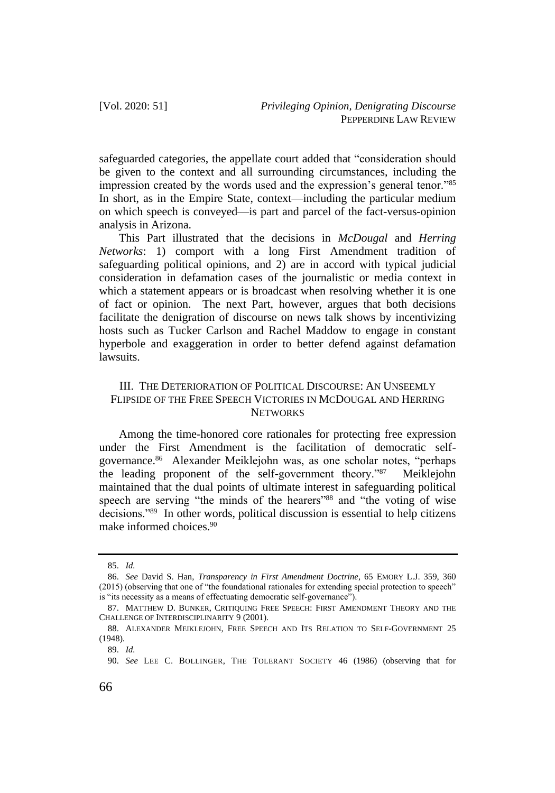safeguarded categories, the appellate court added that "consideration should be given to the context and all surrounding circumstances, including the impression created by the words used and the expression's general tenor."<sup>85</sup> In short, as in the Empire State, context—including the particular medium on which speech is conveyed—is part and parcel of the fact-versus-opinion analysis in Arizona.

This Part illustrated that the decisions in *McDougal* and *Herring Networks*: 1) comport with a long First Amendment tradition of safeguarding political opinions, and 2) are in accord with typical judicial consideration in defamation cases of the journalistic or media context in which a statement appears or is broadcast when resolving whether it is one of fact or opinion. The next Part, however, argues that both decisions facilitate the denigration of discourse on news talk shows by incentivizing hosts such as Tucker Carlson and Rachel Maddow to engage in constant hyperbole and exaggeration in order to better defend against defamation lawsuits.

## III. THE DETERIORATION OF POLITICAL DISCOURSE: AN UNSEEMLY FLIPSIDE OF THE FREE SPEECH VICTORIES IN MCDOUGAL AND HERRING **NETWORKS**

Among the time-honored core rationales for protecting free expression under the First Amendment is the facilitation of democratic selfgovernance.<sup>86</sup> Alexander Meiklejohn was, as one scholar notes, "perhaps the leading proponent of the self-government theory."<sup>87</sup> Meiklejohn maintained that the dual points of ultimate interest in safeguarding political speech are serving "the minds of the hearers"<sup>88</sup> and "the voting of wise decisions."<sup>89</sup> In other words, political discussion is essential to help citizens make informed choices<sup>90</sup>

<sup>85.</sup> *Id.*

<sup>86.</sup> *See* David S. Han, *Transparency in First Amendment Doctrine*, 65 EMORY L.J. 359, 360 (2015) (observing that one of "the foundational rationales for extending special protection to speech" is "its necessity as a means of effectuating democratic self-governance").

<sup>87.</sup> MATTHEW D. BUNKER, CRITIQUING FREE SPEECH: FIRST AMENDMENT THEORY AND THE CHALLENGE OF INTERDISCIPLINARITY 9 (2001).

<sup>88.</sup> ALEXANDER MEIKLEJOHN, FREE SPEECH AND ITS RELATION TO SELF-GOVERNMENT 25 (1948).

<sup>89.</sup> *Id.*

<sup>90.</sup> *See* LEE C. BOLLINGER, THE TOLERANT SOCIETY 46 (1986) (observing that for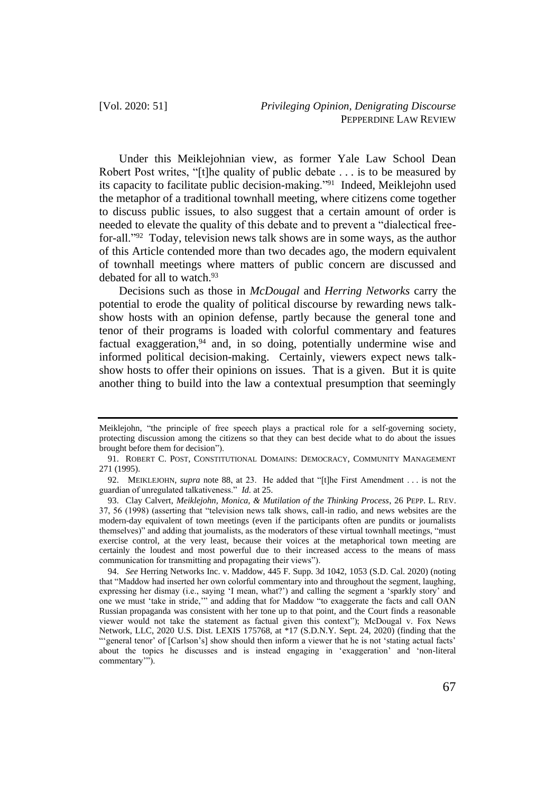Under this Meiklejohnian view, as former Yale Law School Dean Robert Post writes, "[t]he quality of public debate . . . is to be measured by its capacity to facilitate public decision-making."<sup>91</sup> Indeed, Meiklejohn used the metaphor of a traditional townhall meeting, where citizens come together to discuss public issues, to also suggest that a certain amount of order is needed to elevate the quality of this debate and to prevent a "dialectical freefor-all."<sup>92</sup> Today, television news talk shows are in some ways, as the author of this Article contended more than two decades ago, the modern equivalent of townhall meetings where matters of public concern are discussed and debated for all to watch.<sup>93</sup>

Decisions such as those in *McDougal* and *Herring Networks* carry the potential to erode the quality of political discourse by rewarding news talkshow hosts with an opinion defense, partly because the general tone and tenor of their programs is loaded with colorful commentary and features factual exaggeration, $94$  and, in so doing, potentially undermine wise and informed political decision-making. Certainly, viewers expect news talkshow hosts to offer their opinions on issues. That is a given. But it is quite another thing to build into the law a contextual presumption that seemingly

Meiklejohn, "the principle of free speech plays a practical role for a self-governing society, protecting discussion among the citizens so that they can best decide what to do about the issues brought before them for decision").

<sup>91.</sup> ROBERT C. POST, CONSTITUTIONAL DOMAINS: DEMOCRACY, COMMUNITY MANAGEMENT 271 (1995).

<sup>92.</sup> MEIKLEJOHN, *supra* note 88, at 23. He added that "[t]he First Amendment . . . is not the guardian of unregulated talkativeness." *Id.* at 25.

<sup>93.</sup> Clay Calvert, *Meiklejohn, Monica, & Mutilation of the Thinking Process*, 26 PEPP. L. REV. 37, 56 (1998) (asserting that "television news talk shows, call-in radio, and news websites are the modern-day equivalent of town meetings (even if the participants often are pundits or journalists themselves)" and adding that journalists, as the moderators of these virtual townhall meetings, "must exercise control, at the very least, because their voices at the metaphorical town meeting are certainly the loudest and most powerful due to their increased access to the means of mass communication for transmitting and propagating their views").

<sup>94.</sup> *See* Herring Networks Inc. v. Maddow, 445 F. Supp. 3d 1042, 1053 (S.D. Cal. 2020) (noting that "Maddow had inserted her own colorful commentary into and throughout the segment, laughing, expressing her dismay (i.e., saying 'I mean, what?') and calling the segment a 'sparkly story' and one we must 'take in stride,'" and adding that for Maddow "to exaggerate the facts and call OAN Russian propaganda was consistent with her tone up to that point, and the Court finds a reasonable viewer would not take the statement as factual given this context"); McDougal v. Fox News Network, LLC, 2020 U.S. Dist. LEXIS 175768, at \*17 (S.D.N.Y. Sept. 24, 2020) (finding that the "'general tenor' of [Carlson's] show should then inform a viewer that he is not 'stating actual facts' about the topics he discusses and is instead engaging in 'exaggeration' and 'non-literal commentary'").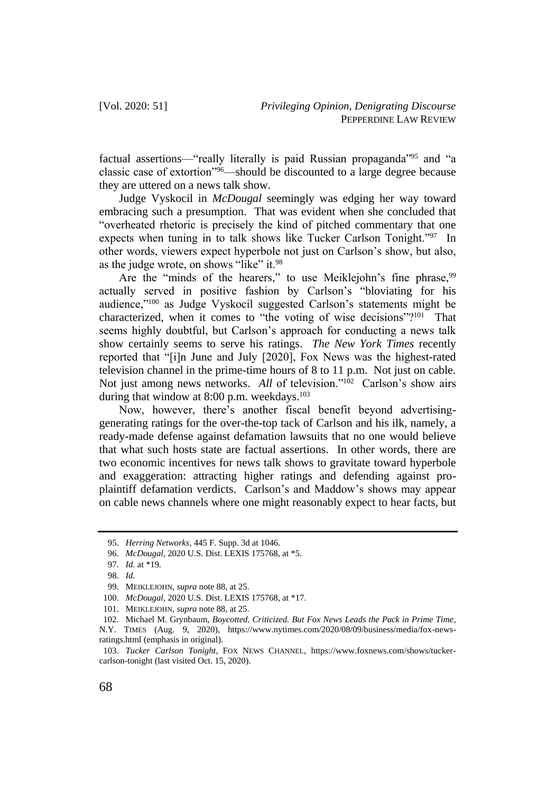factual assertions—"really literally is paid Russian propaganda"<sup>95</sup> and "a classic case of extortion"<sup>96</sup>—should be discounted to a large degree because they are uttered on a news talk show.

Judge Vyskocil in *McDougal* seemingly was edging her way toward embracing such a presumption. That was evident when she concluded that "overheated rhetoric is precisely the kind of pitched commentary that one expects when tuning in to talk shows like Tucker Carlson Tonight."<sup>97</sup> In other words, viewers expect hyperbole not just on Carlson's show, but also, as the judge wrote, on shows "like" it.<sup>98</sup>

Are the "minds of the hearers," to use Meiklejohn's fine phrase,<sup>99</sup> actually served in positive fashion by Carlson's "bloviating for his audience,"<sup>100</sup> as Judge Vyskocil suggested Carlson's statements might be characterized, when it comes to "the voting of wise decisions"?<sup>101</sup> That seems highly doubtful, but Carlson's approach for conducting a news talk show certainly seems to serve his ratings. *The New York Times* recently reported that "[i]n June and July [2020], Fox News was the highest-rated television channel in the prime-time hours of 8 to 11 p.m. Not just on cable. Not just among news networks. All of television."<sup>102</sup> Carlson's show airs during that window at  $8:00$  p.m. weekdays.<sup>103</sup>

Now, however, there's another fiscal benefit beyond advertisinggenerating ratings for the over-the-top tack of Carlson and his ilk, namely, a ready-made defense against defamation lawsuits that no one would believe that what such hosts state are factual assertions. In other words, there are two economic incentives for news talk shows to gravitate toward hyperbole and exaggeration: attracting higher ratings and defending against proplaintiff defamation verdicts. Carlson's and Maddow's shows may appear on cable news channels where one might reasonably expect to hear facts, but

<sup>95.</sup> *Herring Networks*, 445 F. Supp. 3d at 1046.

<sup>96.</sup> *McDougal*, 2020 U.S. Dist. LEXIS 175768, at \*5.

<sup>97.</sup> *Id.* at \*19.

<sup>98.</sup> *Id.*

<sup>99.</sup> MEIKLEJOHN, *supra* note 88, at 25.

<sup>100.</sup> *McDougal*, 2020 U.S. Dist. LEXIS 175768, at \*17.

<sup>101.</sup> MEIKLEJOHN, *supra* note 88, at 25.

<sup>102.</sup> Michael M. Grynbaum, *Boycotted. Criticized. But Fox News Leads the Pack in Prime Time*,

N.Y. TIMES (Aug. 9, 2020), https://www.nytimes.com/2020/08/09/business/media/fox-newsratings.html (emphasis in original).

<sup>103.</sup> *Tucker Carlson Tonight*, FOX NEWS CHANNEL, https://www.foxnews.com/shows/tuckercarlson-tonight (last visited Oct. 15, 2020).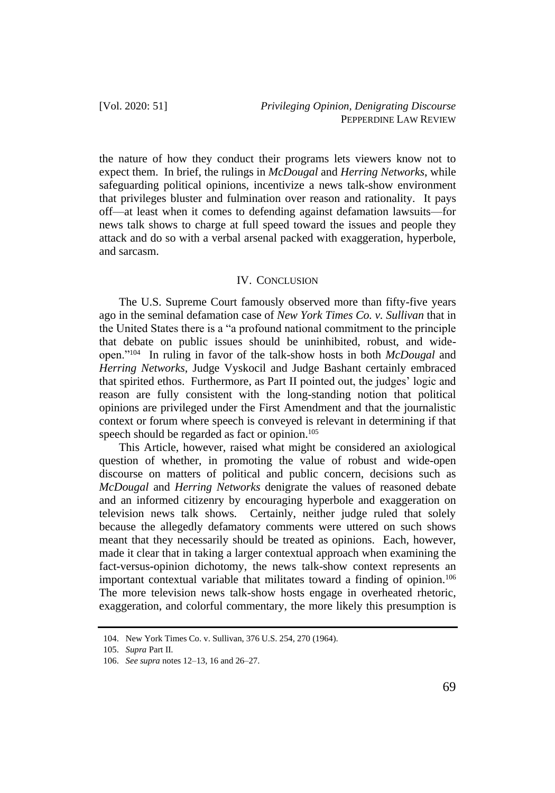the nature of how they conduct their programs lets viewers know not to expect them. In brief, the rulings in *McDougal* and *Herring Networks*, while safeguarding political opinions, incentivize a news talk-show environment that privileges bluster and fulmination over reason and rationality. It pays off—at least when it comes to defending against defamation lawsuits—for news talk shows to charge at full speed toward the issues and people they attack and do so with a verbal arsenal packed with exaggeration, hyperbole, and sarcasm.

#### IV. CONCLUSION

The U.S. Supreme Court famously observed more than fifty-five years ago in the seminal defamation case of *New York Times Co. v. Sullivan* that in the United States there is a "a profound national commitment to the principle that debate on public issues should be uninhibited, robust, and wideopen."<sup>104</sup> In ruling in favor of the talk-show hosts in both *McDougal* and *Herring Networks*, Judge Vyskocil and Judge Bashant certainly embraced that spirited ethos. Furthermore, as Part II pointed out, the judges' logic and reason are fully consistent with the long-standing notion that political opinions are privileged under the First Amendment and that the journalistic context or forum where speech is conveyed is relevant in determining if that speech should be regarded as fact or opinion.<sup>105</sup>

This Article, however, raised what might be considered an axiological question of whether, in promoting the value of robust and wide-open discourse on matters of political and public concern, decisions such as *McDougal* and *Herring Networks* denigrate the values of reasoned debate and an informed citizenry by encouraging hyperbole and exaggeration on television news talk shows. Certainly, neither judge ruled that solely because the allegedly defamatory comments were uttered on such shows meant that they necessarily should be treated as opinions. Each, however, made it clear that in taking a larger contextual approach when examining the fact-versus-opinion dichotomy, the news talk-show context represents an important contextual variable that militates toward a finding of opinion.<sup>106</sup> The more television news talk-show hosts engage in overheated rhetoric, exaggeration, and colorful commentary, the more likely this presumption is

<sup>104.</sup> New York Times Co. v. Sullivan, 376 U.S. 254, 270 (1964).

<sup>105.</sup> *Supra* Part II.

<sup>106.</sup> *See supra* notes 12–13, 16 and 26–27.